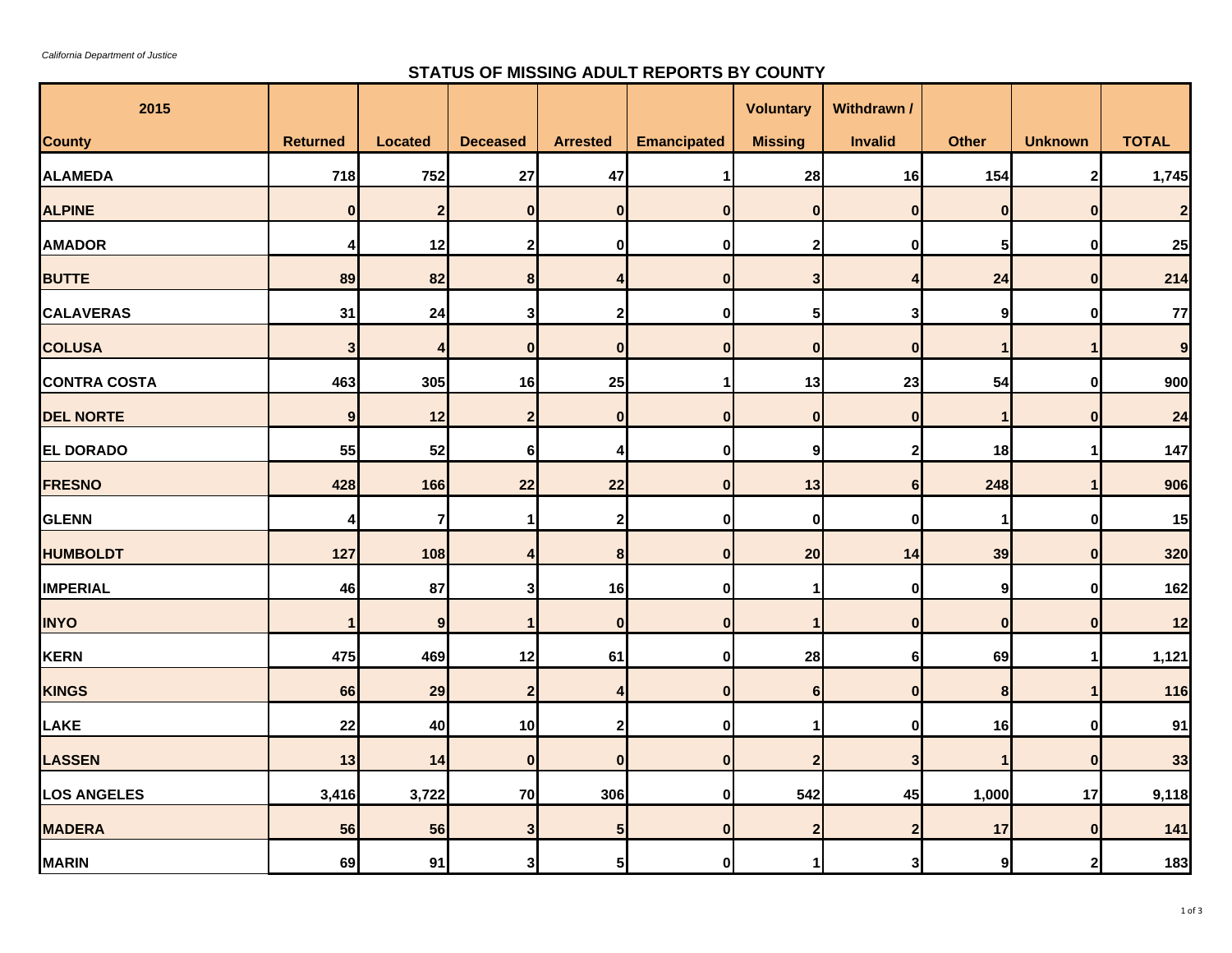$\sim$ 

## **STATUS OF MISSING ADULT REPORTS BY COUNTY**

| 2015                |                 |                |                 |                  |                    | <b>Voluntary</b>        | Withdrawn /             |                  |                      |              |
|---------------------|-----------------|----------------|-----------------|------------------|--------------------|-------------------------|-------------------------|------------------|----------------------|--------------|
| <b>County</b>       | <b>Returned</b> | <b>Located</b> | <b>Deceased</b> | <b>Arrested</b>  | <b>Emancipated</b> | <b>Missing</b>          | <b>Invalid</b>          | <b>Other</b>     | <b>Unknown</b>       | <b>TOTAL</b> |
| <b>ALAMEDA</b>      | 718             | 752            | 27              | 47               | 1                  | 28                      | 16                      | 154              | $\mathbf{2}$         | 1,745        |
| <b>ALPINE</b>       | $\mathbf{0}$    | $\overline{2}$ | $\bf{0}$        | $\mathbf{0}$     | $\mathbf{0}$       | $\bf{0}$                | $\bf{0}$                | $\bf{0}$         | $\bf{0}$             |              |
| <b>AMADOR</b>       | 4               | 12             | $\mathbf{2}$    | $\mathbf{0}$     | $\mathbf{0}$       | $\overline{\mathbf{2}}$ | $\bf{0}$                | 5                | $\mathbf 0$          | 25           |
| <b>BUTTE</b>        | 89              | 82             | 8               | 4                | $\overline{0}$     | 3                       | 4                       | 24               | $\mathbf{0}$         | 214          |
| <b>CALAVERAS</b>    | 31              | 24             | 3               | $\mathbf{2}$     | 0l                 | 5                       | 3                       | 9                | $\mathbf 0$          | 77           |
| <b>COLUSA</b>       | $\mathbf{3}$    | $\overline{4}$ | $\mathbf{0}$    | $\mathbf{0}$     | $\overline{0}$     | $\mathbf{0}$            | $\mathbf{0}$            | $\mathbf{1}$     | $\mathbf{1}$         | 9            |
| <b>CONTRA COSTA</b> | 463             | 305            | 16              | 25               | 1                  | 13                      | 23                      | 54               | $\bf{0}$             | 900          |
| <b>DEL NORTE</b>    | 9 <sub>l</sub>  | 12             | $\overline{2}$  | $\overline{0}$   | $\overline{0}$     | $\mathbf{0}$            | $\mathbf{0}$            | $\mathbf{1}$     | $\mathbf{0}$         | 24           |
| <b>EL DORADO</b>    | 55              | 52             | 6               | $\overline{4}$   | 0l                 | $\boldsymbol{9}$        | $\overline{2}$          | 18               | $\blacktriangleleft$ | 147          |
| <b>FRESNO</b>       | 428             | 166            | 22              | 22               | $\mathbf{0}$       | 13                      | 6                       | 248              | $\mathbf{1}$         | 906          |
| <b>GLENN</b>        | 4               | $\overline{7}$ |                 | $\mathbf{2}$     | 0l                 | 0                       | $\bf{0}$                | $\mathbf 1$      | $\bf{0}$             | 15           |
| <b>HUMBOLDT</b>     | 127             | 108            |                 | 8                | $\overline{0}$     | 20                      | 14                      | 39               | $\mathbf 0$          | 320          |
| <b>IMPERIAL</b>     | 46              | 87             | 3               | 16               | 0l                 | -1                      | $\mathbf{0}$            | 9                | $\bf{0}$             | 162          |
| <b>INYO</b>         | 1               | 9              |                 | $\mathbf{0}$     | $\mathbf{0}$       |                         | $\bf{0}$                | $\bf{0}$         | $\mathbf{0}$         | 12           |
| KERN                | 475             | 469            | 12              | 61               | 0I                 | 28                      | 6                       | 69               | $\mathbf 1$          | 1,121        |
| <b>KINGS</b>        | 66              | 29             | $\overline{2}$  | $\overline{4}$   | $\overline{0}$     | 6                       | $\mathbf{0}$            | 8                | $\mathbf{1}$         | 116          |
| <b>LAKE</b>         | 22              | 40             | 10              | $\boldsymbol{2}$ | 0l                 | 1                       | 0                       | 16               | $\bf{0}$             | 91           |
| <b>LASSEN</b>       | 13              | 14             | 0               | $\overline{0}$   | $\overline{0}$     | $\overline{\mathbf{c}}$ | 3                       | 1                | $\mathbf{0}$         | 33           |
| <b>LOS ANGELES</b>  | 3,416           | 3,722          | 70              | 306              | 0I                 | 542                     | 45                      | 1,000            | 17                   | 9,118        |
| <b>MADERA</b>       | 56              | 56             | 3               | 5 <sub>l</sub>   | $\overline{0}$     | $\overline{\mathbf{2}}$ | $\overline{\mathbf{2}}$ | 17               | $\bf{0}$             | 141          |
| <b>MARIN</b>        | 69              | 91             | 3               | 5 <sub>l</sub>   | 0                  |                         | $\mathbf{3}$            | $\boldsymbol{9}$ | $\mathbf{2}$         | 183          |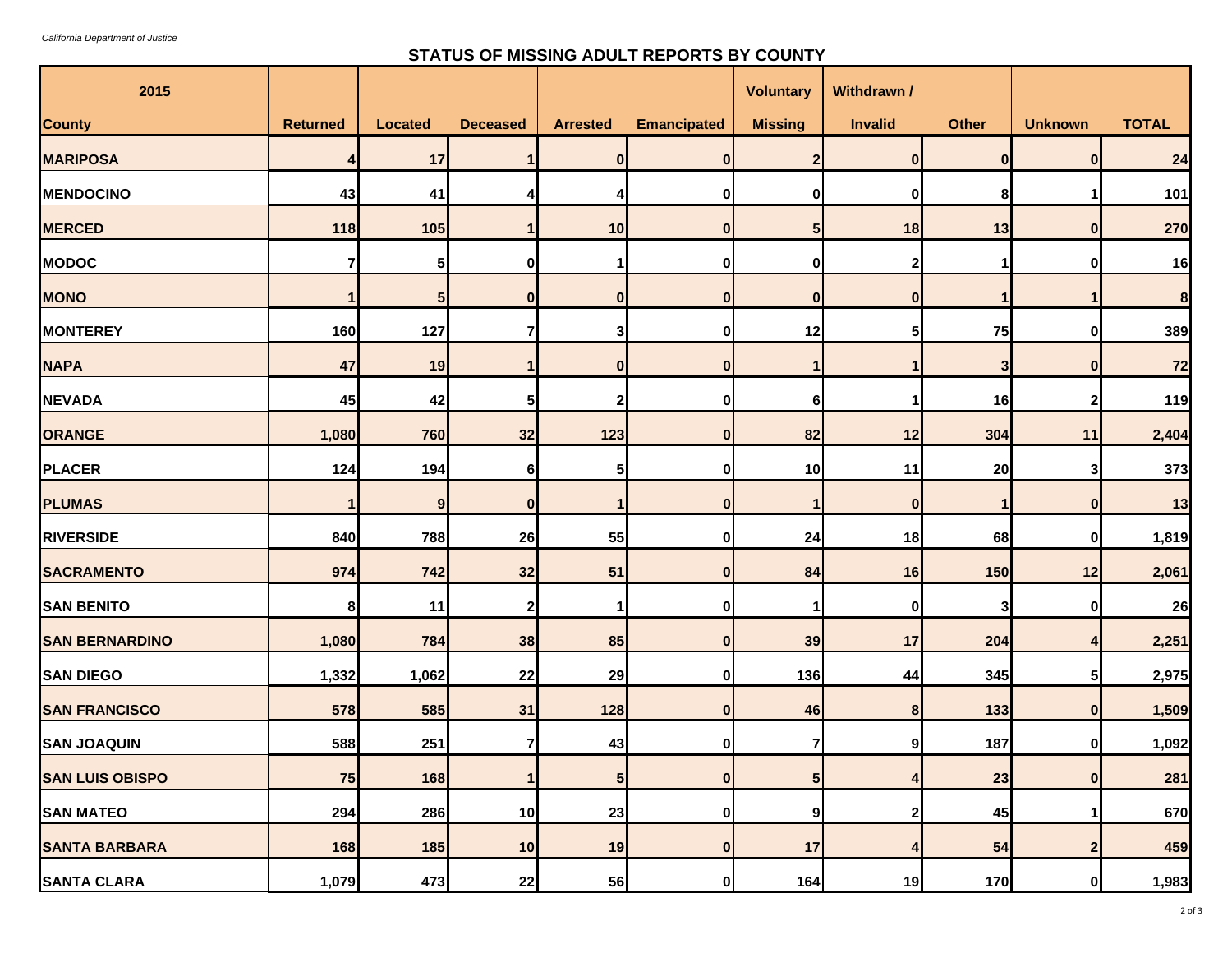## **STATUS OF MISSING ADULT REPORTS BY COUNTY**

| 2015                   |                 |                 |                 |                 |                    | <b>Voluntary</b> | Withdrawn /    |              |                         |              |
|------------------------|-----------------|-----------------|-----------------|-----------------|--------------------|------------------|----------------|--------------|-------------------------|--------------|
| <b>County</b>          | <b>Returned</b> | <b>Located</b>  | <b>Deceased</b> | <b>Arrested</b> | <b>Emancipated</b> | <b>Missing</b>   | Invalid        | <b>Other</b> | <b>Unknown</b>          | <b>TOTAL</b> |
| <b>MARIPOSA</b>        | 4               | 17              |                 | $\bf{0}$        | $\mathbf{0}$       | 2 <sub>l</sub>   | $\mathbf{0}$   | $\mathbf{0}$ | $\bf{0}$                | 24           |
| <b>MENDOCINO</b>       | 43              | 41              | 4               |                 | 0                  | 0                | 0              | 8            | 1                       | 101          |
| <b>MERCED</b>          | 118             | 105             |                 | 10              | $\bf{0}$           | 5 <sub>1</sub>   | 18             | 13           | $\bf{0}$                | 270          |
| <b>MODOC</b>           |                 | 5               | 0               |                 | 0                  | 0                | 2              |              | 0                       | 16           |
| <b>MONO</b>            | $\mathbf 1$     | $5\phantom{.0}$ | $\mathbf{0}$    | $\mathbf{0}$    | $\bf{0}$           | $\mathbf{0}$     | $\mathbf{0}$   | 1            | $\mathbf 1$             | 8            |
| <b>MONTEREY</b>        | 160             | 127             | 7               | 3               | 0                  | 12               | 51             | 75           | $\bf{0}$                | 389          |
| <b>NAPA</b>            | 47              | 19              |                 | $\bf{0}$        | $\bf{0}$           |                  |                | 3            | $\bf{0}$                | 72           |
| <b>NEVADA</b>          | 45              | 42              | 5               | 2               | 0                  | 6                |                | 16           | $\mathbf{2}$            | 119          |
| ORANGE                 | 1,080           | 760             | 32              | 123             | $\bf{0}$           | 82               | 12             | 304          | 11                      | 2,404        |
| <b>PLACER</b>          | 124             | 194             | 6               | 5 <sub>l</sub>  | 0                  | 10               | 11             | 20           | $\mathbf{3}$            | 373          |
| <b>PLUMAS</b>          | 1               | 9               | 0               |                 | n                  |                  | $\bf{0}$       |              | $\bf{0}$                | 13           |
| <b>RIVERSIDE</b>       | 840             | 788             | 26              | 55              | 0                  | 24               | 18             | 68           | $\bf{0}$                | 1,819        |
| <b>SACRAMENTO</b>      | 974             | 742             | 32              | 51              | $\mathbf{0}$       | 84               | 16             | 150          | 12                      | 2,061        |
| <b>SAN BENITO</b>      | 8               | 11              | 2               |                 | 0                  |                  | $\bf{0}$       | 3            | 0                       | 26           |
| <b>SAN BERNARDINO</b>  | 1,080           | 784             | 38              | 85              | $\bf{0}$           | 39               | 17             | 204          | 4                       | 2,251        |
| <b>SAN DIEGO</b>       | 1,332           | 1,062           | 22              | 29              | $\mathbf{0}$       | 136              | 44             | 345          | $\sqrt{5}$              | 2,975        |
| <b>SAN FRANCISCO</b>   | 578             | 585             | 31              | 128             | $\bf{0}$           | 46               | 8              | 133          | $\boldsymbol{0}$        | 1,509        |
| <b>SAN JOAQUIN</b>     | 588             | 251             | 7               | 43              | $\mathbf{0}$       | 7                | 9              | 187          | $\mathbf 0$             | 1,092        |
| <b>SAN LUIS OBISPO</b> | 75              | 168             | 1               | 5 <sup>1</sup>  | 0                  | 5 <sup>1</sup>   | 4 <sub>1</sub> | 23           | $\mathbf 0$             | 281          |
| <b>SAN MATEO</b>       | 294             | 286             | 10              | 23              | $\mathbf{0}$       | 91               | 2              | 45           | 1                       | 670          |
| <b>SANTA BARBARA</b>   | 168             | 185             | 10              | 19              | $\mathbf{0}$       | 17               | 4              | 54           | $\overline{\mathbf{2}}$ | 459          |
| <b>SANTA CLARA</b>     | 1,079           | 473             | 22              | 56              | 0                  | 164              | 19             | 170          | 0                       | 1,983        |